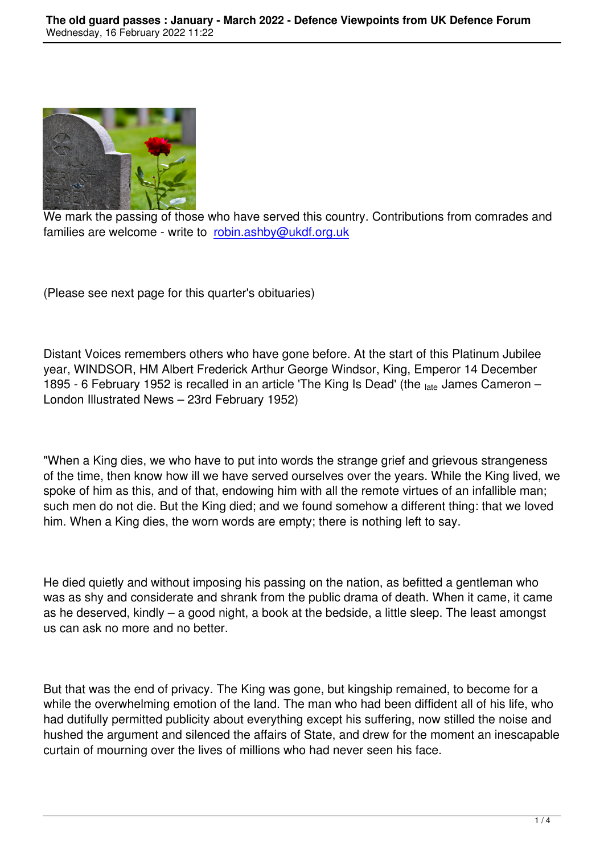

We mark the passing of those who have served this country. Contributions from comrades and families are welcome - write to robin.ashby@ukdf.org.uk

(Please see next page for this [quarter's obituaries\)](mailto:robin.ashby@ukdf.org.uk)

Distant Voices remembers others who have gone before. At the start of this Platinum Jubilee year, WINDSOR, HM Albert Frederick Arthur George Windsor, King, Emperor 14 December 1895 - 6 February 1952 is recalled in an article 'The King Is Dead' (the late James Cameron – London Illustrated News – 23rd February 1952)

"When a King dies, we who have to put into words the strange grief and grievous strangeness of the time, then know how ill we have served ourselves over the years. While the King lived, we spoke of him as this, and of that, endowing him with all the remote virtues of an infallible man; such men do not die. But the King died; and we found somehow a different thing: that we loved him. When a King dies, the worn words are empty; there is nothing left to say.

He died quietly and without imposing his passing on the nation, as befitted a gentleman who was as shy and considerate and shrank from the public drama of death. When it came, it came as he deserved, kindly – a good night, a book at the bedside, a little sleep. The least amongst us can ask no more and no better.

But that was the end of privacy. The King was gone, but kingship remained, to become for a while the overwhelming emotion of the land. The man who had been diffident all of his life, who had dutifully permitted publicity about everything except his suffering, now stilled the noise and hushed the argument and silenced the affairs of State, and drew for the moment an inescapable curtain of mourning over the lives of millions who had never seen his face.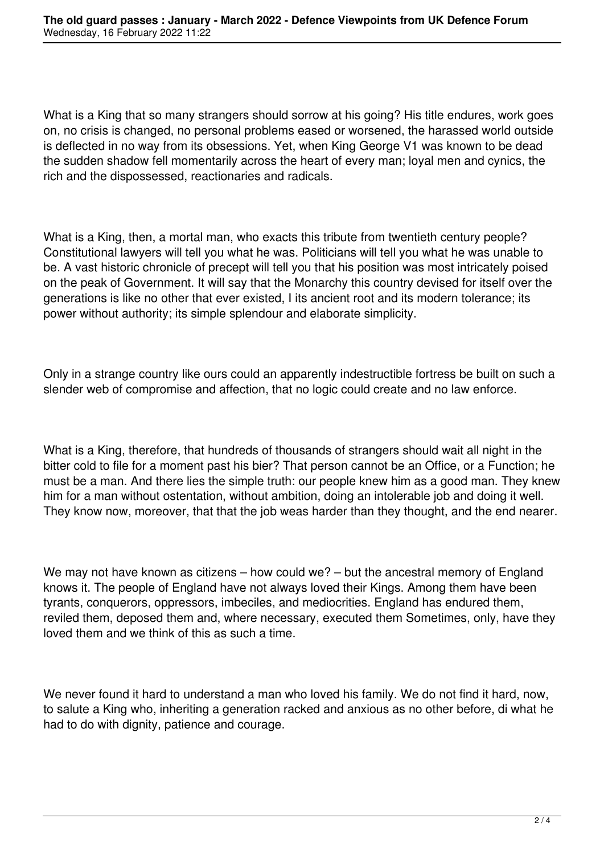What is a King that so many strangers should sorrow at his going? His title endures, work goes on, no crisis is changed, no personal problems eased or worsened, the harassed world outside is deflected in no way from its obsessions. Yet, when King George V1 was known to be dead the sudden shadow fell momentarily across the heart of every man; loyal men and cynics, the rich and the dispossessed, reactionaries and radicals.

What is a King, then, a mortal man, who exacts this tribute from twentieth century people? Constitutional lawyers will tell you what he was. Politicians will tell you what he was unable to be. A vast historic chronicle of precept will tell you that his position was most intricately poised on the peak of Government. It will say that the Monarchy this country devised for itself over the generations is like no other that ever existed, I its ancient root and its modern tolerance; its power without authority; its simple splendour and elaborate simplicity.

Only in a strange country like ours could an apparently indestructible fortress be built on such a slender web of compromise and affection, that no logic could create and no law enforce.

What is a King, therefore, that hundreds of thousands of strangers should wait all night in the bitter cold to file for a moment past his bier? That person cannot be an Office, or a Function; he must be a man. And there lies the simple truth: our people knew him as a good man. They knew him for a man without ostentation, without ambition, doing an intolerable job and doing it well. They know now, moreover, that that the job weas harder than they thought, and the end nearer.

We may not have known as citizens – how could we? – but the ancestral memory of England knows it. The people of England have not always loved their Kings. Among them have been tyrants, conquerors, oppressors, imbeciles, and mediocrities. England has endured them, reviled them, deposed them and, where necessary, executed them Sometimes, only, have they loved them and we think of this as such a time.

We never found it hard to understand a man who loved his family. We do not find it hard, now, to salute a King who, inheriting a generation racked and anxious as no other before, di what he had to do with dignity, patience and courage.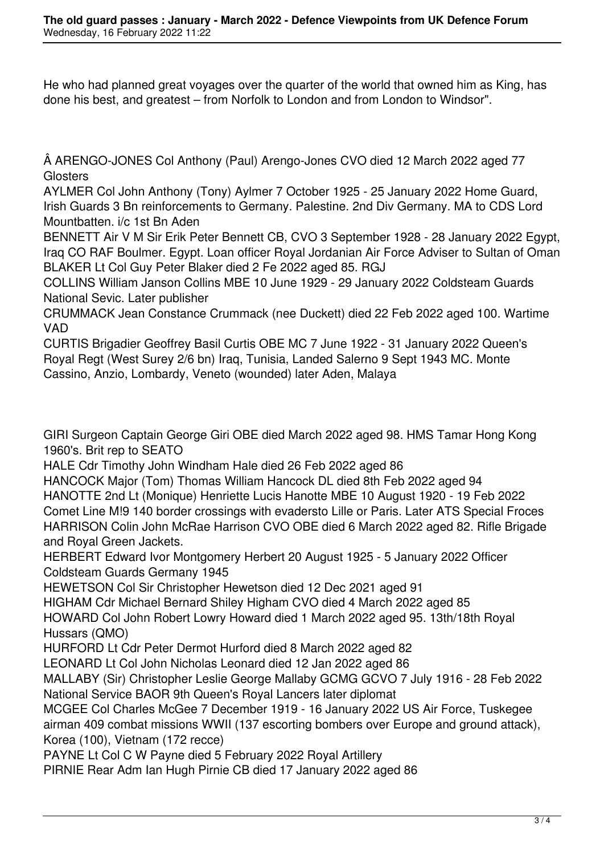He who had planned great voyages over the quarter of the world that owned him as King, has done his best, and greatest – from Norfolk to London and from London to Windsor".

 ARENGO-JONES Col Anthony (Paul) Arengo-Jones CVO died 12 March 2022 aged 77 **Glosters** 

AYLMER Col John Anthony (Tony) Aylmer 7 October 1925 - 25 January 2022 Home Guard, Irish Guards 3 Bn reinforcements to Germany. Palestine. 2nd Div Germany. MA to CDS Lord Mountbatten. i/c 1st Bn Aden

BENNETT Air V M Sir Erik Peter Bennett CB, CVO 3 September 1928 - 28 January 2022 Egypt, Iraq CO RAF Boulmer. Egypt. Loan officer Royal Jordanian Air Force Adviser to Sultan of Oman BLAKER Lt Col Guy Peter Blaker died 2 Fe 2022 aged 85. RGJ

COLLINS William Janson Collins MBE 10 June 1929 - 29 January 2022 Coldsteam Guards National Sevic. Later publisher

CRUMMACK Jean Constance Crummack (nee Duckett) died 22 Feb 2022 aged 100. Wartime VAD

CURTIS Brigadier Geoffrey Basil Curtis OBE MC 7 June 1922 - 31 January 2022 Queen's Royal Regt (West Surey 2/6 bn) Iraq, Tunisia, Landed Salerno 9 Sept 1943 MC. Monte Cassino, Anzio, Lombardy, Veneto (wounded) later Aden, Malaya

GIRI Surgeon Captain George Giri OBE died March 2022 aged 98. HMS Tamar Hong Kong 1960's. Brit rep to SEATO

HALE Cdr Timothy John Windham Hale died 26 Feb 2022 aged 86

HANCOCK Major (Tom) Thomas William Hancock DL died 8th Feb 2022 aged 94 HANOTTE 2nd Lt (Monique) Henriette Lucis Hanotte MBE 10 August 1920 - 19 Feb 2022 Comet Line M!9 140 border crossings with evadersto Lille or Paris. Later ATS Special Froces HARRISON Colin John McRae Harrison CVO OBE died 6 March 2022 aged 82. Rifle Brigade and Royal Green Jackets.

HERBERT Edward Ivor Montgomery Herbert 20 August 1925 - 5 January 2022 Officer Coldsteam Guards Germany 1945

HEWETSON Col Sir Christopher Hewetson died 12 Dec 2021 aged 91

HIGHAM Cdr Michael Bernard Shiley Higham CVO died 4 March 2022 aged 85

HOWARD Col John Robert Lowry Howard died 1 March 2022 aged 95. 13th/18th Royal Hussars (QMO)

HURFORD Lt Cdr Peter Dermot Hurford died 8 March 2022 aged 82

LEONARD Lt Col John Nicholas Leonard died 12 Jan 2022 aged 86

MALLABY (Sir) Christopher Leslie George Mallaby GCMG GCVO 7 July 1916 - 28 Feb 2022 National Service BAOR 9th Queen's Royal Lancers later diplomat

MCGEE Col Charles McGee 7 December 1919 - 16 January 2022 US Air Force, Tuskegee airman 409 combat missions WWII (137 escorting bombers over Europe and ground attack), Korea (100), Vietnam (172 recce)

PAYNE Lt Col C W Payne died 5 February 2022 Royal Artillery

PIRNIE Rear Adm Ian Hugh Pirnie CB died 17 January 2022 aged 86